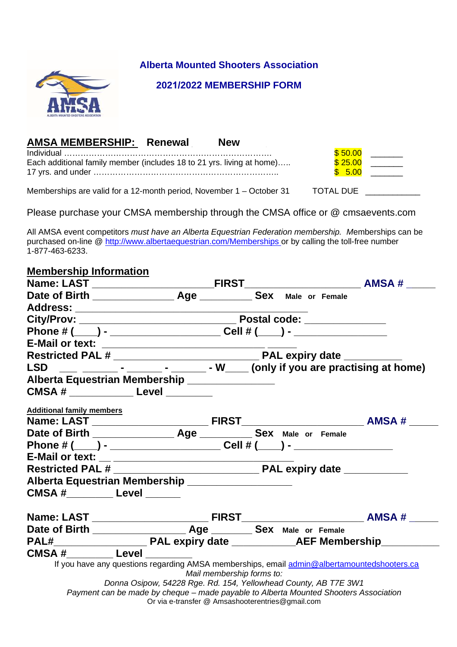

**Alberta Mounted Shooters Association**

### **2021/2022 MEMBERSHIP FORM**

## **AMSA MEMBERSHIP: Renewal Mew**

|                                                                       | \$50.00 |  |
|-----------------------------------------------------------------------|---------|--|
| Each additional family member (includes 18 to 21 yrs. living at home) | \$25.00 |  |
|                                                                       | \$5.00  |  |
|                                                                       |         |  |

Memberships are valid for a 12-month period, November  $1 -$ October 31 TOTAL DUE

Please purchase your CMSA membership through the CMSA office or @ cmsaevents.com

All AMSA event competitors *must have an Alberta Equestrian Federation membership. M*emberships can be purchased on-line @ http://www.albertaequestrian.com/Memberships or by calling the toll-free number 1-877-463-6233.

| <b>Membership Information</b>            |                                                                                                                                                                                                                                                                                                                        |  |  |  |
|------------------------------------------|------------------------------------------------------------------------------------------------------------------------------------------------------------------------------------------------------------------------------------------------------------------------------------------------------------------------|--|--|--|
|                                          |                                                                                                                                                                                                                                                                                                                        |  |  |  |
|                                          |                                                                                                                                                                                                                                                                                                                        |  |  |  |
|                                          |                                                                                                                                                                                                                                                                                                                        |  |  |  |
|                                          |                                                                                                                                                                                                                                                                                                                        |  |  |  |
|                                          | Phone # (____) - ______________________Cell # (____) - __________________                                                                                                                                                                                                                                              |  |  |  |
|                                          |                                                                                                                                                                                                                                                                                                                        |  |  |  |
|                                          |                                                                                                                                                                                                                                                                                                                        |  |  |  |
|                                          | LSD $\frac{1}{2}$ $\frac{1}{2}$ $\frac{1}{2}$ $\frac{1}{2}$ $\frac{1}{2}$ $\frac{1}{2}$ $\frac{1}{2}$ $\frac{1}{2}$ $\frac{1}{2}$ $\frac{1}{2}$ $\frac{1}{2}$ $\frac{1}{2}$ $\frac{1}{2}$ $\frac{1}{2}$ $\frac{1}{2}$ $\frac{1}{2}$ $\frac{1}{2}$ $\frac{1}{2}$ $\frac{1}{2}$ $\frac{1}{2}$ $\frac{1}{2}$ $\frac{1}{2$ |  |  |  |
|                                          | Alberta Equestrian Membership _______________                                                                                                                                                                                                                                                                          |  |  |  |
|                                          | CMSA # ________________ Level ________                                                                                                                                                                                                                                                                                 |  |  |  |
| <b>Additional family members</b>         |                                                                                                                                                                                                                                                                                                                        |  |  |  |
|                                          |                                                                                                                                                                                                                                                                                                                        |  |  |  |
|                                          |                                                                                                                                                                                                                                                                                                                        |  |  |  |
|                                          | Phone # (____) - _______________________Cell # (____) - ________________________                                                                                                                                                                                                                                       |  |  |  |
|                                          |                                                                                                                                                                                                                                                                                                                        |  |  |  |
|                                          |                                                                                                                                                                                                                                                                                                                        |  |  |  |
|                                          | Alberta Equestrian Membership _____________________                                                                                                                                                                                                                                                                    |  |  |  |
| CMSA #____________ Level _______         |                                                                                                                                                                                                                                                                                                                        |  |  |  |
|                                          |                                                                                                                                                                                                                                                                                                                        |  |  |  |
|                                          |                                                                                                                                                                                                                                                                                                                        |  |  |  |
|                                          |                                                                                                                                                                                                                                                                                                                        |  |  |  |
| <b>CMSA #___________ Level _________</b> |                                                                                                                                                                                                                                                                                                                        |  |  |  |
|                                          | If you have any questions regarding AMSA memberships, email admin@albertamountedshooters.ca<br>Mail membership forms to:                                                                                                                                                                                               |  |  |  |
|                                          | Donna Osipow, 54228 Rge. Rd. 154, Yellowhead County, AB T7E 3W1                                                                                                                                                                                                                                                        |  |  |  |
|                                          | Payment can be made by cheque - made payable to Alberta Mounted Shooters Association                                                                                                                                                                                                                                   |  |  |  |

Or via e-transfer @ Amsashooterentries@gmail.com